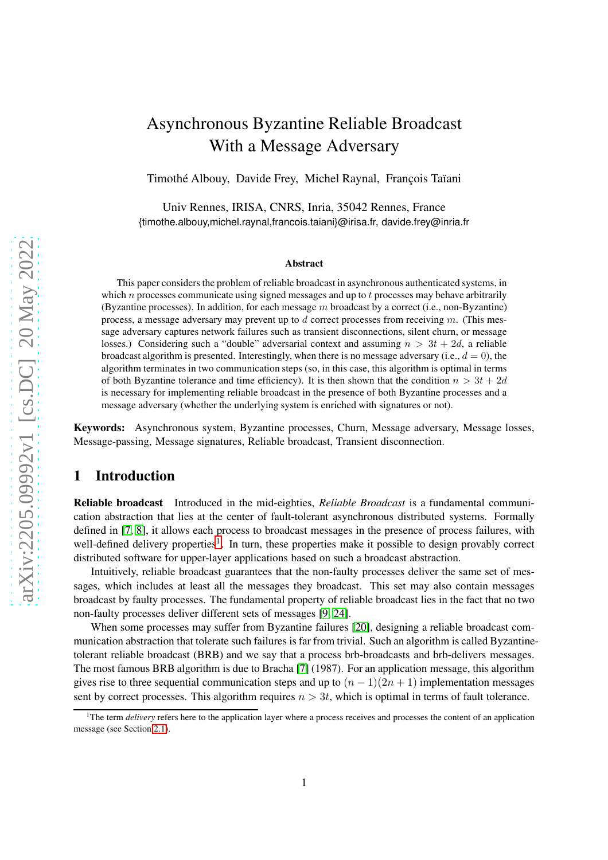# Asynchronous Byzantine Reliable Broadcast With a Message Adversary

Timothé Albouy, Davide Frey, Michel Raynal, François Taïani

Univ Rennes, IRISA, CNRS, Inria, 35042 Rennes, France {timothe.albouy,michel.raynal,francois.taiani}@irisa.fr, davide.frey@inria.fr

#### Abstract

This paper considers the problem of reliable broadcast in asynchronous authenticated systems, in which  $n$  processes communicate using signed messages and up to  $t$  processes may behave arbitrarily (Byzantine processes). In addition, for each message  $m$  broadcast by a correct (i.e., non-Byzantine) process, a message adversary may prevent up to  $d$  correct processes from receiving  $m$ . (This message adversary captures network failures such as transient disconnections, silent churn, or message losses.) Considering such a "double" adversarial context and assuming  $n > 3t + 2d$ , a reliable broadcast algorithm is presented. Interestingly, when there is no message adversary (i.e.,  $d = 0$ ), the algorithm terminates in two communication steps (so, in this case, this algorithm is optimal in terms of both Byzantine tolerance and time efficiency). It is then shown that the condition  $n > 3t + 2d$ is necessary for implementing reliable broadcast in the presence of both Byzantine processes and a message adversary (whether the underlying system is enriched with signatures or not).

Keywords: Asynchronous system, Byzantine processes, Churn, Message adversary, Message losses, Message-passing, Message signatures, Reliable broadcast, Transient disconnection.

# 1 Introduction

Reliable broadcast Introduced in the mid-eighties, *Reliable Broadcast* is a fundamental communication abstraction that lies at the center of fault-tolerant asynchronous distributed systems. Formally defined in [\[7,](#page-15-0) [8\]](#page-15-1), it allows each process to broadcast messages in the presence of process failures, with well-defined delivery properties<sup>[1](#page-0-0)</sup>. In turn, these properties make it possible to design provably correct distributed software for upper-layer applications based on such a broadcast abstraction.

Intuitively, reliable broadcast guarantees that the non-faulty processes deliver the same set of messages, which includes at least all the messages they broadcast. This set may also contain messages broadcast by faulty processes. The fundamental property of reliable broadcast lies in the fact that no two non-faulty processes deliver different sets of messages [\[9,](#page-15-2) [24\]](#page-16-0).

When some processes may suffer from Byzantine failures [\[20\]](#page-16-1), designing a reliable broadcast communication abstraction that tolerate such failures is far from trivial. Such an algorithm is called Byzantinetolerant reliable broadcast (BRB) and we say that a process brb-broadcasts and brb-delivers messages. The most famous BRB algorithm is due to Bracha [\[7\]](#page-15-0) (1987). For an application message, this algorithm gives rise to three sequential communication steps and up to  $(n - 1)(2n + 1)$  implementation messages sent by correct processes. This algorithm requires  $n > 3t$ , which is optimal in terms of fault tolerance.

<span id="page-0-0"></span><sup>1</sup>The term *delivery* refers here to the application layer where a process receives and processes the content of an application message (see Section [2.1\)](#page-2-0).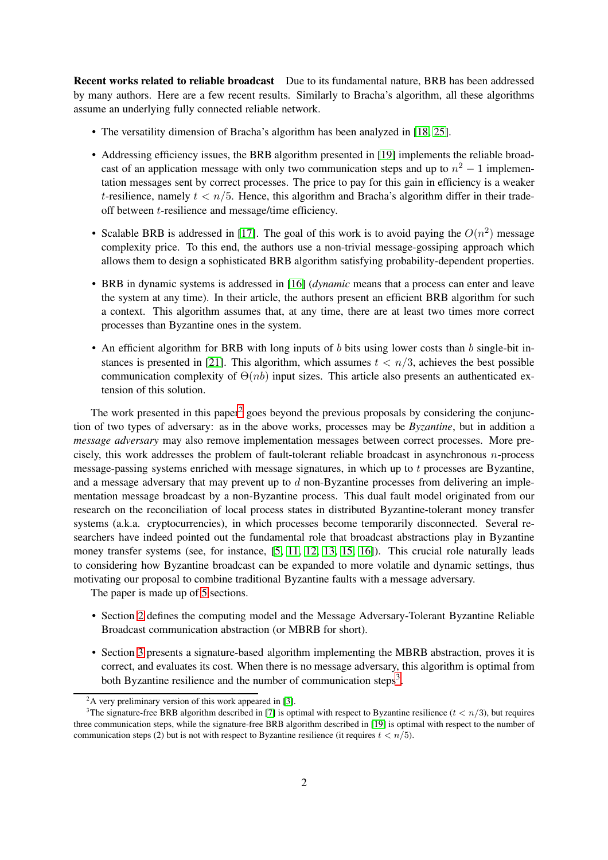Recent works related to reliable broadcast Due to its fundamental nature, BRB has been addressed by many authors. Here are a few recent results. Similarly to Bracha's algorithm, all these algorithms assume an underlying fully connected reliable network.

- The versatility dimension of Bracha's algorithm has been analyzed in [\[18,](#page-16-2) [25\]](#page-16-3).
- Addressing efficiency issues, the BRB algorithm presented in [\[19\]](#page-16-4) implements the reliable broadcast of an application message with only two communication steps and up to  $n^2 - 1$  implementation messages sent by correct processes. The price to pay for this gain in efficiency is a weaker t-resilience, namely  $t < n/5$ . Hence, this algorithm and Bracha's algorithm differ in their tradeoff between t-resilience and message/time efficiency.
- Scalable BRB is addressed in [\[17\]](#page-16-5). The goal of this work is to avoid paying the  $O(n^2)$  message complexity price. To this end, the authors use a non-trivial message-gossiping approach which allows them to design a sophisticated BRB algorithm satisfying probability-dependent properties.
- BRB in dynamic systems is addressed in [\[16\]](#page-16-6) (*dynamic* means that a process can enter and leave the system at any time). In their article, the authors present an efficient BRB algorithm for such a context. This algorithm assumes that, at any time, there are at least two times more correct processes than Byzantine ones in the system.
- An efficient algorithm for BRB with long inputs of  $b$  bits using lower costs than  $b$  single-bit in-stances is presented in [\[21\]](#page-16-7). This algorithm, which assumes  $t < n/3$ , achieves the best possible communication complexity of  $\Theta(nb)$  input sizes. This article also presents an authenticated extension of this solution.

The work presented in this paper<sup>[2](#page-1-0)</sup> goes beyond the previous proposals by considering the conjunction of two types of adversary: as in the above works, processes may be *Byzantine*, but in addition a *message adversary* may also remove implementation messages between correct processes. More precisely, this work addresses the problem of fault-tolerant reliable broadcast in asynchronous n-process message-passing systems enriched with message signatures, in which up to t processes are Byzantine, and a message adversary that may prevent up to  $d$  non-Byzantine processes from delivering an implementation message broadcast by a non-Byzantine process. This dual fault model originated from our research on the reconciliation of local process states in distributed Byzantine-tolerant money transfer systems (a.k.a. cryptocurrencies), in which processes become temporarily disconnected. Several researchers have indeed pointed out the fundamental role that broadcast abstractions play in Byzantine money transfer systems (see, for instance,  $[5, 11, 12, 13, 15, 16]$  $[5, 11, 12, 13, 15, 16]$  $[5, 11, 12, 13, 15, 16]$  $[5, 11, 12, 13, 15, 16]$  $[5, 11, 12, 13, 15, 16]$  $[5, 11, 12, 13, 15, 16]$ ). This crucial role naturally leads to considering how Byzantine broadcast can be expanded to more volatile and dynamic settings, thus motivating our proposal to combine traditional Byzantine faults with a message adversary.

The paper is made up of [5](#page-14-0) sections.

- Section [2](#page-2-1) defines the computing model and the Message Adversary-Tolerant Byzantine Reliable Broadcast communication abstraction (or MBRB for short).
- Section [3](#page-5-0) presents a signature-based algorithm implementing the MBRB abstraction, proves it is correct, and evaluates its cost. When there is no message adversary, this algorithm is optimal from both Byzantine resilience and the number of communication steps<sup>[3](#page-1-1)</sup>.

<span id="page-1-0"></span> $2A$  very preliminary version of this work appeared in [\[3\]](#page-15-7).

<span id="page-1-1"></span><sup>&</sup>lt;sup>3</sup>The signature-free BRB algorithm described in [\[7\]](#page-15-0) is optimal with respect to Byzantine resilience ( $t < n/3$ ), but requires three communication steps, while the signature-free BRB algorithm described in [\[19\]](#page-16-4) is optimal with respect to the number of communication steps (2) but is not with respect to Byzantine resilience (it requires  $t < n/5$ ).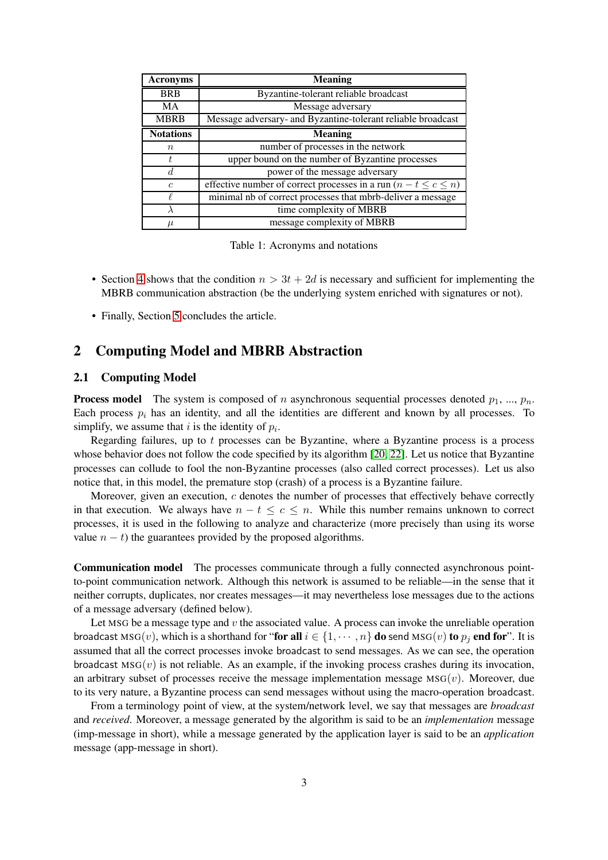| <b>Acronyms</b>  | <b>Meaning</b>                                                         |
|------------------|------------------------------------------------------------------------|
| <b>BRB</b>       | Byzantine-tolerant reliable broadcast                                  |
| MA               | Message adversary                                                      |
| <b>MBRB</b>      | Message adversary- and Byzantine-tolerant reliable broadcast           |
| <b>Notations</b> | <b>Meaning</b>                                                         |
| $\boldsymbol{n}$ | number of processes in the network                                     |
| Ť.               | upper bound on the number of Byzantine processes                       |
| d.               | power of the message adversary                                         |
| $\epsilon$       | effective number of correct processes in a run $(n - t \leq c \leq n)$ |
|                  | minimal nb of correct processes that mbrb-deliver a message            |
|                  | time complexity of MBRB                                                |
| $\mu$            | message complexity of MBRB                                             |

Table 1: Acronyms and notations

- Section [4](#page-13-0) shows that the condition  $n > 3t + 2d$  is necessary and sufficient for implementing the MBRB communication abstraction (be the underlying system enriched with signatures or not).
- Finally, Section [5](#page-14-0) concludes the article.

# <span id="page-2-1"></span>2 Computing Model and MBRB Abstraction

### <span id="page-2-0"></span>2.1 Computing Model

**Process model** The system is composed of n asynchronous sequential processes denoted  $p_1, ..., p_n$ . Each process  $p_i$  has an identity, and all the identities are different and known by all processes. To simplify, we assume that i is the identity of  $p_i$ .

Regarding failures, up to  $t$  processes can be Byzantine, where a Byzantine process is a process whose behavior does not follow the code specified by its algorithm [\[20,](#page-16-1) [22\]](#page-16-9). Let us notice that Byzantine processes can collude to fool the non-Byzantine processes (also called correct processes). Let us also notice that, in this model, the premature stop (crash) of a process is a Byzantine failure.

Moreover, given an execution, c denotes the number of processes that effectively behave correctly in that execution. We always have  $n - t \leq c \leq n$ . While this number remains unknown to correct processes, it is used in the following to analyze and characterize (more precisely than using its worse value  $n - t$ ) the guarantees provided by the proposed algorithms.

Communication model The processes communicate through a fully connected asynchronous pointto-point communication network. Although this network is assumed to be reliable—in the sense that it neither corrupts, duplicates, nor creates messages—it may nevertheless lose messages due to the actions of a message adversary (defined below).

Let MSG be a message type and  $v$  the associated value. A process can invoke the unreliable operation broadcast  $\text{MSG}(v)$ , which is a shorthand for "for all  $i \in \{1, \dots, n\}$  do send  $\text{MSG}(v)$  to  $p_i$  end for". It is assumed that all the correct processes invoke broadcast to send messages. As we can see, the operation broadcast  $MSG(v)$  is not reliable. As an example, if the invoking process crashes during its invocation, an arbitrary subset of processes receive the message implementation message  $MSG(v)$ . Moreover, due to its very nature, a Byzantine process can send messages without using the macro-operation broadcast.

From a terminology point of view, at the system/network level, we say that messages are *broadcast* and *received*. Moreover, a message generated by the algorithm is said to be an *implementation* message (imp-message in short), while a message generated by the application layer is said to be an *application* message (app-message in short).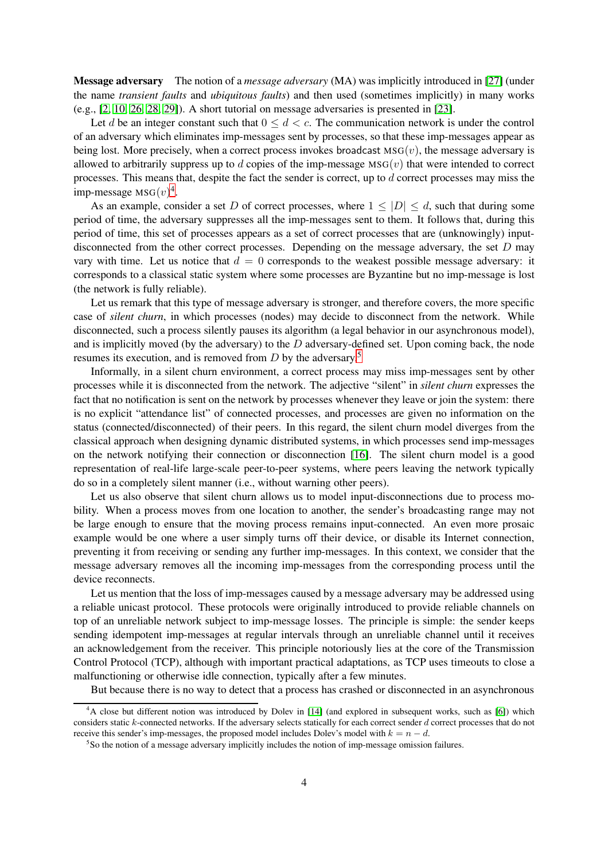Message adversary The notion of a *message adversary* (MA) was implicitly introduced in [\[27\]](#page-16-10) (under the name *transient faults* and *ubiquitous faults*) and then used (sometimes implicitly) in many works (e.g., [\[2,](#page-15-8) [10,](#page-15-9) [26,](#page-16-11) [28,](#page-16-12) [29\]](#page-16-13)). A short tutorial on message adversaries is presented in [\[23\]](#page-16-14).

Let d be an integer constant such that  $0 \leq d < c$ . The communication network is under the control of an adversary which eliminates imp-messages sent by processes, so that these imp-messages appear as being lost. More precisely, when a correct process invokes broadcast  $MSG(v)$ , the message adversary is allowed to arbitrarily suppress up to  $d$  copies of the imp-message  $\text{MSG}(v)$  that were intended to correct processes. This means that, despite the fact the sender is correct, up to  $d$  correct processes may miss the imp-message  $MSG(v)^4$  $MSG(v)^4$ .

As an example, consider a set D of correct processes, where  $1 \leq |D| \leq d$ , such that during some period of time, the adversary suppresses all the imp-messages sent to them. It follows that, during this period of time, this set of processes appears as a set of correct processes that are (unknowingly) inputdisconnected from the other correct processes. Depending on the message adversary, the set  $D$  may vary with time. Let us notice that  $d = 0$  corresponds to the weakest possible message adversary: it corresponds to a classical static system where some processes are Byzantine but no imp-message is lost (the network is fully reliable).

Let us remark that this type of message adversary is stronger, and therefore covers, the more specific case of *silent churn*, in which processes (nodes) may decide to disconnect from the network. While disconnected, such a process silently pauses its algorithm (a legal behavior in our asynchronous model), and is implicitly moved (by the adversary) to the  $D$  adversary-defined set. Upon coming back, the node resumes its execution, and is removed from  $D$  by the adversary.<sup>[5](#page-3-1)</sup>

Informally, in a silent churn environment, a correct process may miss imp-messages sent by other processes while it is disconnected from the network. The adjective "silent" in *silent churn* expresses the fact that no notification is sent on the network by processes whenever they leave or join the system: there is no explicit "attendance list" of connected processes, and processes are given no information on the status (connected/disconnected) of their peers. In this regard, the silent churn model diverges from the classical approach when designing dynamic distributed systems, in which processes send imp-messages on the network notifying their connection or disconnection [\[16\]](#page-16-6). The silent churn model is a good representation of real-life large-scale peer-to-peer systems, where peers leaving the network typically do so in a completely silent manner (i.e., without warning other peers).

Let us also observe that silent churn allows us to model input-disconnections due to process mobility. When a process moves from one location to another, the sender's broadcasting range may not be large enough to ensure that the moving process remains input-connected. An even more prosaic example would be one where a user simply turns off their device, or disable its Internet connection, preventing it from receiving or sending any further imp-messages. In this context, we consider that the message adversary removes all the incoming imp-messages from the corresponding process until the device reconnects.

Let us mention that the loss of imp-messages caused by a message adversary may be addressed using a reliable unicast protocol. These protocols were originally introduced to provide reliable channels on top of an unreliable network subject to imp-message losses. The principle is simple: the sender keeps sending idempotent imp-messages at regular intervals through an unreliable channel until it receives an acknowledgement from the receiver. This principle notoriously lies at the core of the Transmission Control Protocol (TCP), although with important practical adaptations, as TCP uses timeouts to close a malfunctioning or otherwise idle connection, typically after a few minutes.

But because there is no way to detect that a process has crashed or disconnected in an asynchronous

<span id="page-3-0"></span><sup>4</sup>A close but different notion was introduced by Dolev in [\[14\]](#page-16-15) (and explored in subsequent works, such as [\[6\]](#page-15-10)) which considers static k-connected networks. If the adversary selects statically for each correct sender d correct processes that do not receive this sender's imp-messages, the proposed model includes Dolev's model with  $k = n - d$ .

<span id="page-3-1"></span><sup>&</sup>lt;sup>5</sup>So the notion of a message adversary implicitly includes the notion of imp-message omission failures.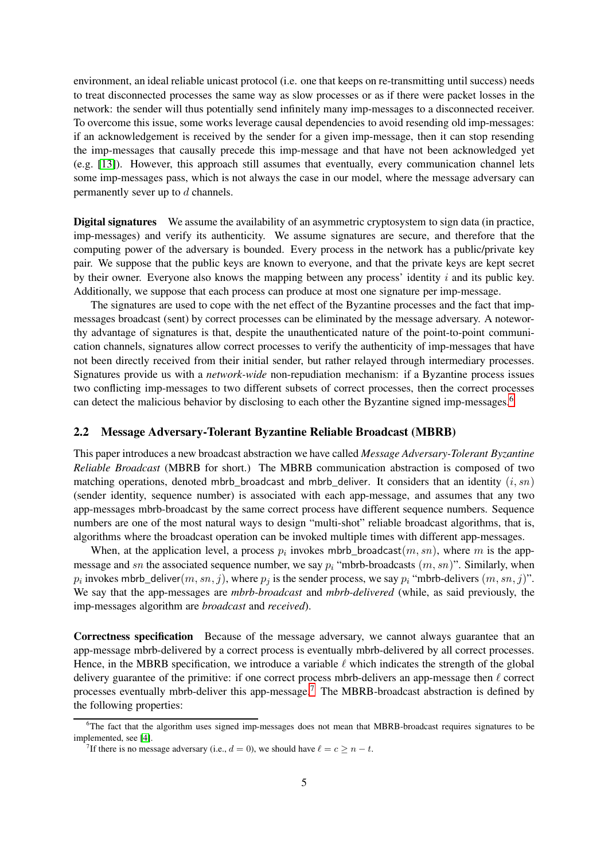environment, an ideal reliable unicast protocol (i.e. one that keeps on re-transmitting until success) needs to treat disconnected processes the same way as slow processes or as if there were packet losses in the network: the sender will thus potentially send infinitely many imp-messages to a disconnected receiver. To overcome this issue, some works leverage causal dependencies to avoid resending old imp-messages: if an acknowledgement is received by the sender for a given imp-message, then it can stop resending the imp-messages that causally precede this imp-message and that have not been acknowledged yet (e.g. [\[13\]](#page-15-6)). However, this approach still assumes that eventually, every communication channel lets some imp-messages pass, which is not always the case in our model, where the message adversary can permanently sever up to d channels.

Digital signatures We assume the availability of an asymmetric cryptosystem to sign data (in practice, imp-messages) and verify its authenticity. We assume signatures are secure, and therefore that the computing power of the adversary is bounded. Every process in the network has a public/private key pair. We suppose that the public keys are known to everyone, and that the private keys are kept secret by their owner. Everyone also knows the mapping between any process' identity  $i$  and its public key. Additionally, we suppose that each process can produce at most one signature per imp-message.

The signatures are used to cope with the net effect of the Byzantine processes and the fact that impmessages broadcast (sent) by correct processes can be eliminated by the message adversary. A noteworthy advantage of signatures is that, despite the unauthenticated nature of the point-to-point communication channels, signatures allow correct processes to verify the authenticity of imp-messages that have not been directly received from their initial sender, but rather relayed through intermediary processes. Signatures provide us with a *network-wide* non-repudiation mechanism: if a Byzantine process issues two conflicting imp-messages to two different subsets of correct processes, then the correct processes can detect the malicious behavior by disclosing to each other the Byzantine signed imp-messages.<sup>[6](#page-4-0)</sup>

#### 2.2 Message Adversary-Tolerant Byzantine Reliable Broadcast (MBRB)

This paper introduces a new broadcast abstraction we have called *Message Adversary-Tolerant Byzantine Reliable Broadcast* (MBRB for short.) The MBRB communication abstraction is composed of two matching operations, denoted mbrb\_broadcast and mbrb\_deliver. It considers that an identity  $(i, sn)$ (sender identity, sequence number) is associated with each app-message, and assumes that any two app-messages mbrb-broadcast by the same correct process have different sequence numbers. Sequence numbers are one of the most natural ways to design "multi-shot" reliable broadcast algorithms, that is, algorithms where the broadcast operation can be invoked multiple times with different app-messages.

When, at the application level, a process  $p_i$  invokes mbrb\_broadcast $(m, sn)$ , where m is the appmessage and sn the associated sequence number, we say  $p_i$  "mbrb-broadcasts  $(m, sn)$ ". Similarly, when  $p_i$  invokes mbrb\_deliver $(m, sn, j)$ , where  $p_j$  is the sender process, we say  $p_i$  "mbrb-delivers  $(m, sn, j)$ ". We say that the app-messages are *mbrb-broadcast* and *mbrb-delivered* (while, as said previously, the imp-messages algorithm are *broadcast* and *received*).

Correctness specification Because of the message adversary, we cannot always guarantee that an app-message mbrb-delivered by a correct process is eventually mbrb-delivered by all correct processes. Hence, in the MBRB specification, we introduce a variable  $\ell$  which indicates the strength of the global delivery guarantee of the primitive: if one correct process mbrb-delivers an app-message then  $\ell$  correct processes eventually mbrb-deliver this app-message.[7](#page-4-1) The MBRB-broadcast abstraction is defined by the following properties:

<sup>&</sup>lt;sup>6</sup>The fact that the algorithm uses signed imp-messages does not mean that MBRB-broadcast requires signatures to be implemented, see [\[4\]](#page-15-11).

<span id="page-4-1"></span><span id="page-4-0"></span><sup>&</sup>lt;sup>7</sup>If there is no message adversary (i.e.,  $d = 0$ ), we should have  $\ell = c \ge n - t$ .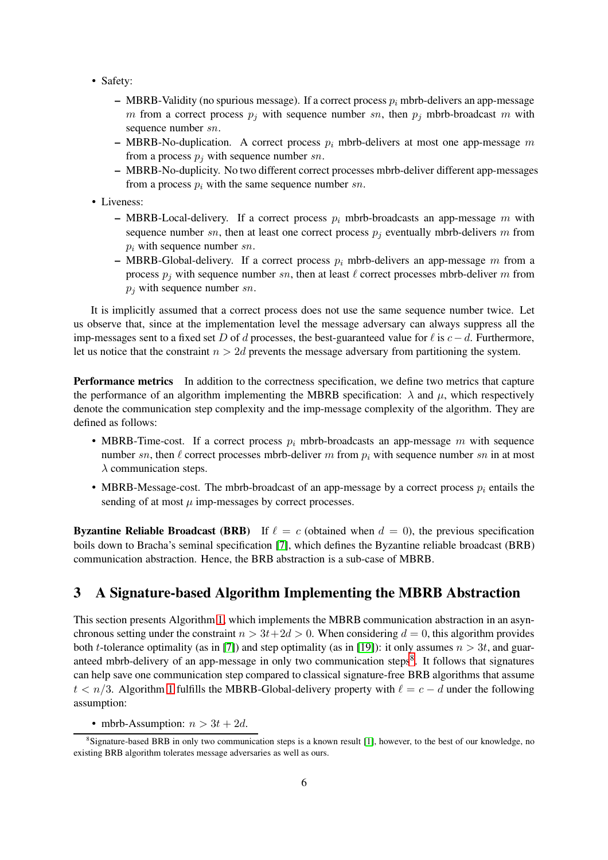- Safety:
	- MBRB-Validity (no spurious message). If a correct process  $p_i$  mbrb-delivers an app-message m from a correct process  $p_j$  with sequence number sn, then  $p_j$  mbrb-broadcast m with sequence number sn.
	- MBRB-No-duplication. A correct process  $p_i$  mbrb-delivers at most one app-message m from a process  $p_i$  with sequence number sn.
	- MBRB-No-duplicity. No two different correct processes mbrb-deliver different app-messages from a process  $p_i$  with the same sequence number sn.
- Liveness:
	- MBRB-Local-delivery. If a correct process  $p_i$  mbrb-broadcasts an app-message m with sequence number sn, then at least one correct process  $p_j$  eventually mbrb-delivers m from  $p_i$  with sequence number  $sn$ .
	- MBRB-Global-delivery. If a correct process  $p_i$  mbrb-delivers an app-message m from a process  $p_j$  with sequence number sn, then at least  $\ell$  correct processes mbrb-deliver m from  $p_i$  with sequence number sn.

It is implicitly assumed that a correct process does not use the same sequence number twice. Let us observe that, since at the implementation level the message adversary can always suppress all the imp-messages sent to a fixed set D of d processes, the best-guaranteed value for  $\ell$  is  $c-d$ . Furthermore, let us notice that the constraint  $n > 2d$  prevents the message adversary from partitioning the system.

Performance metrics In addition to the correctness specification, we define two metrics that capture the performance of an algorithm implementing the MBRB specification:  $\lambda$  and  $\mu$ , which respectively denote the communication step complexity and the imp-message complexity of the algorithm. They are defined as follows:

- MBRB-Time-cost. If a correct process  $p_i$  mbrb-broadcasts an app-message m with sequence number sn, then  $\ell$  correct processes mbrb-deliver m from  $p_i$  with sequence number sn in at most  $\lambda$  communication steps.
- MBRB-Message-cost. The mbrb-broadcast of an app-message by a correct process  $p_i$  entails the sending of at most  $\mu$  imp-messages by correct processes.

**Byzantine Reliable Broadcast (BRB)** If  $\ell = c$  (obtained when  $d = 0$ ), the previous specification boils down to Bracha's seminal specification [\[7\]](#page-15-0), which defines the Byzantine reliable broadcast (BRB) communication abstraction. Hence, the BRB abstraction is a sub-case of MBRB.

# <span id="page-5-0"></span>3 A Signature-based Algorithm Implementing the MBRB Abstraction

This section presents Algorithm [1,](#page-6-0) which implements the MBRB communication abstraction in an asynchronous setting under the constraint  $n > 3t+2d > 0$ . When considering  $d = 0$ , this algorithm provides both t-tolerance optimality (as in [\[7\]](#page-15-0)) and step optimality (as in [\[19\]](#page-16-4)): it only assumes  $n > 3t$ , and guar-anteed mbrb-delivery of an app-message in only two communication steps<sup>[8](#page-5-1)</sup>. It follows that signatures can help save one communication step compared to classical signature-free BRB algorithms that assume  $t < n/3$ . Algorithm [1](#page-6-0) fulfills the MBRB-Global-delivery property with  $\ell = c - d$  under the following assumption:

• mbrb-Assumption:  $n > 3t + 2d$ .

<span id="page-5-1"></span><sup>8</sup>Signature-based BRB in only two communication steps is a known result [\[1\]](#page-15-12), however, to the best of our knowledge, no existing BRB algorithm tolerates message adversaries as well as ours.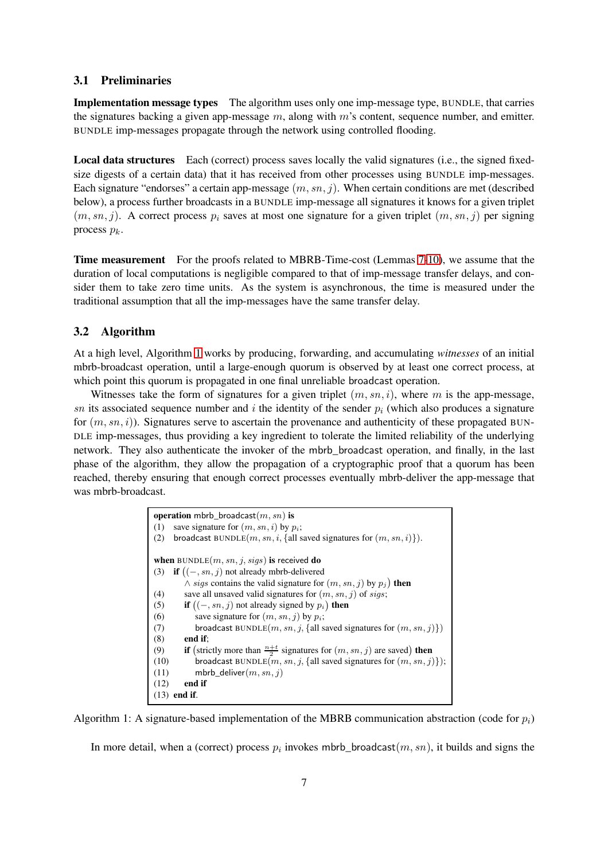#### 3.1 Preliminaries

Implementation message types The algorithm uses only one imp-message type, BUNDLE, that carries the signatures backing a given app-message  $m$ , along with  $m$ 's content, sequence number, and emitter. BUNDLE imp-messages propagate through the network using controlled flooding.

Local data structures Each (correct) process saves locally the valid signatures (i.e., the signed fixedsize digests of a certain data) that it has received from other processes using BUNDLE imp-messages. Each signature "endorses" a certain app-message  $(m, sn, j)$ . When certain conditions are met (described below), a process further broadcasts in a BUNDLE imp-message all signatures it knows for a given triplet  $(m, sn, j)$ . A correct process  $p_i$  saves at most one signature for a given triplet  $(m, sn, j)$  per signing process  $p_k$ .

Time measurement For the proofs related to MBRB-Time-cost (Lemmas [7-](#page-9-0)[10\)](#page-13-1), we assume that the duration of local computations is negligible compared to that of imp-message transfer delays, and consider them to take zero time units. As the system is asynchronous, the time is measured under the traditional assumption that all the imp-messages have the same transfer delay.

#### 3.2 Algorithm

At a high level, Algorithm [1](#page-6-0) works by producing, forwarding, and accumulating *witnesses* of an initial mbrb-broadcast operation, until a large-enough quorum is observed by at least one correct process, at which point this quorum is propagated in one final unreliable broadcast operation.

Witnesses take the form of signatures for a given triplet  $(m, sn, i)$ , where m is the app-message, sn its associated sequence number and i the identity of the sender  $p_i$  (which also produces a signature for  $(m, sn, i)$ ). Signatures serve to ascertain the provenance and authenticity of these propagated BUN-DLE imp-messages, thus providing a key ingredient to tolerate the limited reliability of the underlying network. They also authenticate the invoker of the mbrb\_broadcast operation, and finally, in the last phase of the algorithm, they allow the propagation of a cryptographic proof that a quorum has been reached, thereby ensuring that enough correct processes eventually mbrb-deliver the app-message that was mbrb-broadcast.

<span id="page-6-12"></span><span id="page-6-10"></span><span id="page-6-5"></span><span id="page-6-4"></span><span id="page-6-3"></span><span id="page-6-2"></span><span id="page-6-1"></span><span id="page-6-0"></span>

| <b>operation</b> mbrb_broadcast $(m, sn)$ is                                                     |  |
|--------------------------------------------------------------------------------------------------|--|
| save signature for $(m, sn, i)$ by $p_i$ ;<br>(1)                                                |  |
| broadcast BUNDLE $(m, sn, i, \{all\$ saved signatures for $(m, sn, i)\})$ .<br>(2)               |  |
| when $BUNDLE(m, sn, j, sigs)$ is received do                                                     |  |
| (3) if $((-, sn, j)$ not already mbrb-delivered                                                  |  |
| $\wedge$ sigs contains the valid signature for $(m, sn, j)$ by $p_j$ ) then                      |  |
| save all unsaved valid signatures for $(m, sn, j)$ of sigs;<br>(4)                               |  |
| <b>if</b> $((-, sn, j)$ not already signed by $p_i$ <b>then</b><br>(5)                           |  |
| save signature for $(m, sn, i)$ by $p_i$ ;<br>(6)                                                |  |
| broadcast BUNDLE $(m, sn, j, \{all\$ saved signatures for $(m, sn, j)\})$<br>(7)                 |  |
| (8)<br>end if:                                                                                   |  |
| <b>if</b> (strictly more than $\frac{n+t}{2}$ signatures for $(m, sn, j)$ are saved) then<br>(9) |  |
| broadcast BUNDLE $(m, sn, j, \{all\text{ saved signatures for } (m, sn, j)\})$ ;<br>(10)         |  |
| mbrb_deliver $(m, sn, i)$<br>(11)                                                                |  |
| end if<br>(12)                                                                                   |  |
| end if.<br>(13)                                                                                  |  |

<span id="page-6-11"></span><span id="page-6-9"></span><span id="page-6-7"></span><span id="page-6-6"></span>Algorithm 1: A signature-based implementation of the MBRB communication abstraction (code for  $p_i$ )

<span id="page-6-8"></span>In more detail, when a (correct) process  $p_i$  invokes mbrb\_broadcast $(m, sn)$ , it builds and signs the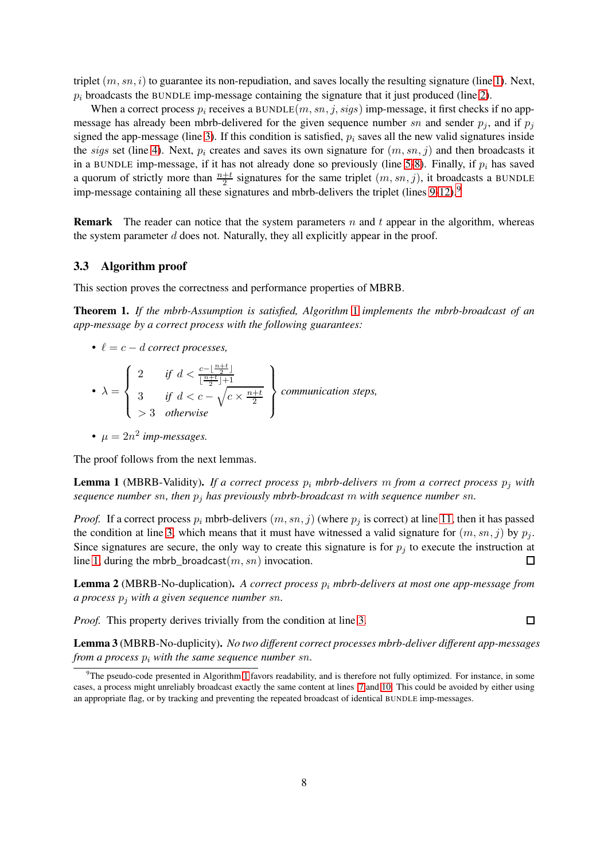triplet  $(m, sn, i)$  to guarantee its non-repudiation, and saves locally the resulting signature (line [1\)](#page-6-1). Next,  $p_i$  broadcasts the BUNDLE imp-message containing the signature that it just produced (line [2\)](#page-6-2).

When a correct process  $p_i$  receives a BUNDLE $(m, sn, j, sigs)$  imp-message, it first checks if no appmessage has already been mbrb-delivered for the given sequence number sn and sender  $p_j$ , and if  $p_j$ signed the app-message (line [3\)](#page-6-3). If this condition is satisfied,  $p_i$  saves all the new valid signatures inside the sigs set (line [4\)](#page-6-4). Next,  $p_i$  creates and saves its own signature for  $(m, sn, j)$  and then broadcasts it in a BUNDLE imp-message, if it has not already done so previously (line [5-](#page-6-5)[8\)](#page-6-6). Finally, if  $p_i$  has saved a quorum of strictly more than  $\frac{n+t}{2}$  signatures for the same triplet  $(m, sn, j)$ , it broadcasts a BUNDLE imp-message containing all these signatures and mbrb-delivers the triplet (lines  $9-12$  $9-12$ ).<sup>9</sup>

**Remark** The reader can notice that the system parameters n and t appear in the algorithm, whereas the system parameter  $d$  does not. Naturally, they all explicitly appear in the proof.

#### 3.3 Algorithm proof

This section proves the correctness and performance properties of MBRB.

<span id="page-7-1"></span>Theorem 1. *If the mbrb-Assumption is satisfied, Algorithm* [1](#page-6-0) *implements the mbrb-broadcast of an app-message by a correct process with the following guarantees:*

•  $\ell = c - d$  *correct processes,* 

• 
$$
\lambda = \begin{cases} 2 & \text{if } d < \frac{c - \lfloor \frac{n+t}{2} \rfloor}{\lfloor \frac{n+t}{2} \rfloor + 1} \\ 3 & \text{if } d < c - \sqrt{c \times \frac{n+t}{2}} \\ > 3 & \text{otherwise} \end{cases}
$$
 communication steps,

•  $\mu = 2n^2$  imp-messages.

The proof follows from the next lemmas.

**Lemma 1** (MBRB-Validity). *If a correct process*  $p_i$  *mbrb-delivers* m *from a correct process*  $p_j$  *with sequence number* sn*, then* p<sup>j</sup> *has previously mbrb-broadcast* m *with sequence number* sn*.*

*Proof.* If a correct process  $p_i$  mbrb-delivers  $(m, sn, j)$  (where  $p_i$  is correct) at line [11,](#page-6-9) then it has passed the condition at line [3,](#page-6-3) which means that it must have witnessed a valid signature for  $(m, sn, j)$  by  $p_j$ . Since signatures are secure, the only way to create this signature is for  $p_j$  to execute the instruction at line [1,](#page-6-1) during the mbrb\_broadcast $(m, sn)$  invocation. П

Lemma 2 (MBRB-No-duplication). *A correct process*  $p_i$  *mbrb-delivers at most one app-message from a process* p<sup>j</sup> *with a given sequence number* sn*.*

*Proof.* This property derives trivially from the condition at line [3.](#page-6-3)

 $\Box$ 

Lemma 3 (MBRB-No-duplicity). *No two different correct processes mbrb-deliver different app-messages from a process*  $p_i$  *with the same sequence number sn.* 

<span id="page-7-0"></span> $9$ The pseudo-code presented in Algorithm [1](#page-6-0) favors readability, and is therefore not fully optimized. For instance, in some cases, a process might unreliably broadcast exactly the same content at lines [7](#page-6-10) and [10.](#page-6-11) This could be avoided by either using an appropriate flag, or by tracking and preventing the repeated broadcast of identical BUNDLE imp-messages.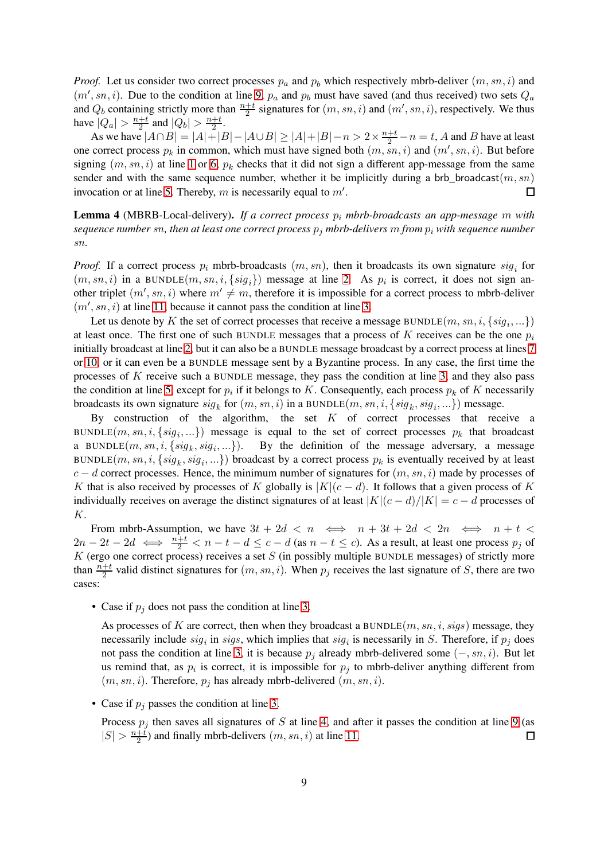*Proof.* Let us consider two correct processes  $p_a$  and  $p_b$  which respectively mbrb-deliver  $(m, sn, i)$  and  $(m', sn, i)$ . Due to the condition at line [9,](#page-6-7)  $p_a$  and  $p_b$  must have saved (and thus received) two sets  $Q_a$ and  $Q_b$  containing strictly more than  $\frac{n+t}{2}$  signatures for  $(m, sn, i)$  and  $(m', sn, i)$ , respectively. We thus have  $|Q_a| > \frac{n+t}{2}$  $\frac{+t}{2}$  and  $|Q_b| > \frac{n+t}{2}$  $\frac{+t}{2}$ .

As we have  $|A \cap B| = |A| + |B| - |A \cup B| \ge |A| + |B| - n > 2 \times \frac{n+t}{2} - n = t$ , A and B have at least one correct process  $p_k$  in common, which must have signed both  $(m, sn, i)$  and  $(m', sn, i)$ . But before signing  $(m, sn, i)$  at line [1](#page-6-1) or [6,](#page-6-12)  $p_k$  checks that it did not sign a different app-message from the same sender and with the same sequence number, whether it be implicitly during a brb broadcast $(m, sn)$ invocation or at line [5.](#page-6-5) Thereby, m is necessarily equal to  $m'$ .  $\Box$ 

Lemma 4 (MBRB-Local-delivery). *If a correct process*  $p_i$  *mbrb-broadcasts an app-message* m with *sequence number sn, then at least one correct process*  $p_j$  *mbrb-delivers* m *from*  $p_i$  *with sequence number* sn*.*

*Proof.* If a correct process  $p_i$  mbrb-broadcasts  $(m, sn)$ , then it broadcasts its own signature  $sig_i$  for  $(m, sn, i)$  in a BUNDLE $(m, sn, i, \{sig_i\})$  message at line [2.](#page-6-2) As  $p_i$  is correct, it does not sign another triplet  $(m', sn, i)$  where  $m' \neq m$ , therefore it is impossible for a correct process to mbrb-deliver  $(m', sn, i)$  at line [11,](#page-6-9) because it cannot pass the condition at line [3.](#page-6-3)

Let us denote by K the set of correct processes that receive a message BUNDLE $(m, sn, i, \{sig_i, ...\})$ at least once. The first one of such BUNDLE messages that a process of K receives can be the one  $p_i$ initially broadcast at line [2,](#page-6-2) but it can also be a BUNDLE message broadcast by a correct process at lines [7](#page-6-10) or [10,](#page-6-11) or it can even be a BUNDLE message sent by a Byzantine process. In any case, the first time the processes of K receive such a BUNDLE message, they pass the condition at line [3,](#page-6-3) and they also pass the condition at line [5,](#page-6-5) except for  $p_i$  if it belongs to K. Consequently, each process  $p_k$  of K necessarily broadcasts its own signature  $sig_k$  for  $(m, sn, i)$  in a BUNDLE $(m, sn, i, \{sig_k, sig_i, ...\})$  message.

By construction of the algorithm, the set  $K$  of correct processes that receive a BUNDLE $(m, sn, i, \{sig_i, ...\})$  message is equal to the set of correct processes  $p_k$  that broadcast a BUNDLE $(m, sn, i, \{sig_k, sig_i\})$ By the definition of the message adversary, a message BUNDLE $(m, sn, i, \{sig_k, sig_i, ...\})$  broadcast by a correct process  $p_k$  is eventually received by at least  $c - d$  correct processes. Hence, the minimum number of signatures for  $(m, sn, i)$  made by processes of K that is also received by processes of K globally is  $|K|(c-d)$ . It follows that a given process of K individually receives on average the distinct signatures of at least  $|K|(c - d)/|K| = c - d$  processes of K.

From mbrb-Assumption, we have  $3t + 2d < n \iff n + 3t + 2d < 2n \iff n + t <$  $2n-2t-2d \iff \frac{n+t}{2} < n-t-d \le c-d$  (as  $n-t \le c$ ). As a result, at least one process  $p_j$  of  $K$  (ergo one correct process) receives a set  $S$  (in possibly multiple BUNDLE messages) of strictly more than  $\frac{n+t}{2}$  valid distinct signatures for  $(m, sn, i)$ . When  $p_j$  receives the last signature of S, there are two cases:

• Case if  $p_i$  does not pass the condition at line [3.](#page-6-3)

As processes of K are correct, then when they broadcast a BUNDLE $(m, sn, i, sigs)$  message, they necessarily include  $sig_i$  in sigs, which implies that  $sig_i$  is necessarily in S. Therefore, if  $p_j$  does not pass the condition at line [3,](#page-6-3) it is because  $p_i$  already mbrb-delivered some  $(-, sn, i)$ . But let us remind that, as  $p_i$  is correct, it is impossible for  $p_j$  to mbrb-deliver anything different from  $(m, sn, i)$ . Therefore,  $p_i$  has already mbrb-delivered  $(m, sn, i)$ .

• Case if  $p_i$  passes the condition at line [3.](#page-6-3)

Process  $p_j$  then saves all signatures of S at line [4,](#page-6-4) and after it passes the condition at line [9](#page-6-7) (as  $|S| > \frac{n+i}{2}$  $\frac{+t}{2}$ ) and finally mbrb-delivers  $(m, sn, i)$  at line [11.](#page-6-9)  $\Box$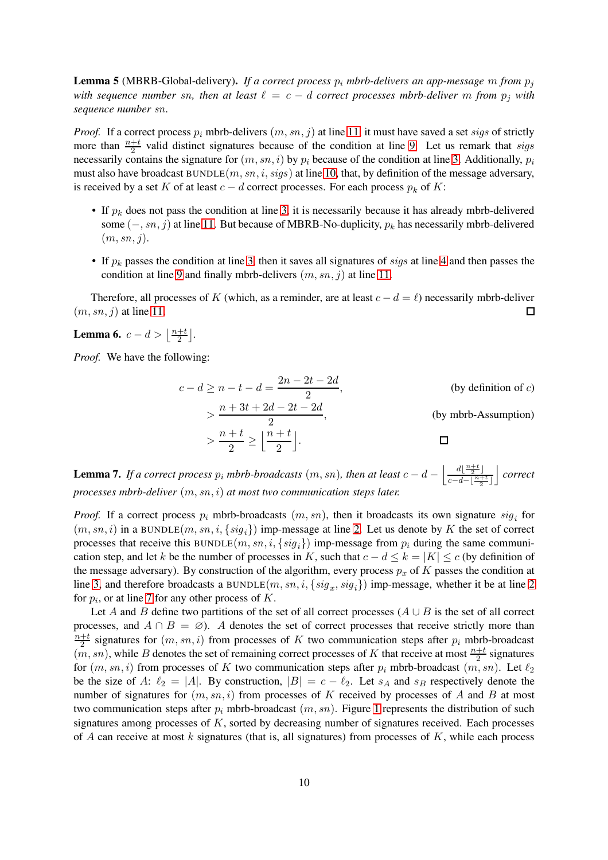**Lemma 5** (MBRB-Global-delivery). *If a correct process*  $p_i$  *mbrb-delivers an app-message* m *from*  $p_j$ *with sequence number sn, then at least*  $\ell = c - d$  *correct processes mbrb-deliver* m *from*  $p_j$  *with sequence number* sn*.*

*Proof.* If a correct process  $p_i$  mbrb-delivers  $(m, sn, j)$  at line [11,](#page-6-9) it must have saved a set sigs of strictly more than  $\frac{n+t}{2}$  valid distinct signatures because of the condition at line [9.](#page-6-7) Let us remark that *sigs* necessarily contains the signature for  $(m, sn, i)$  by  $p_i$  because of the condition at line [3.](#page-6-3) Additionally,  $p_i$ must also have broadcast  $BUNDLE(m, sn, i, sigs)$  at line [10,](#page-6-11) that, by definition of the message adversary, is received by a set K of at least  $c - d$  correct processes. For each process  $p_k$  of K:

- If  $p_k$  does not pass the condition at line [3,](#page-6-3) it is necessarily because it has already mbrb-delivered some  $(-, sn, j)$  at line [11.](#page-6-9) But because of MBRB-No-duplicity,  $p_k$  has necessarily mbrb-delivered  $(m, sn, i)$ .
- If  $p_k$  passes the condition at line [3,](#page-6-3) then it saves all signatures of *sigs* at line [4](#page-6-4) and then passes the condition at line [9](#page-6-7) and finally mbrb-delivers  $(m, sn, i)$  at line [11.](#page-6-9)

Therefore, all processes of K (which, as a reminder, are at least  $c - d = \ell$ ) necessarily mbrb-deliver  $(m, sn, j)$  at line [11.](#page-6-9)  $\Box$ 

<span id="page-9-1"></span>**Lemma 6.**  $c - d > \left| \frac{n+t}{2} \right|$  $\frac{+t}{2}$ .

*Proof.* We have the following:

$$
c - d \ge n - t - d = \frac{2n - 2t - 2d}{2},
$$
 (by definition of c)  
> 
$$
\frac{n + 3t + 2d - 2t - 2d}{2},
$$
 (by mbrb-Assumption)  
> 
$$
\frac{n + t}{2} \ge \left\lfloor \frac{n + t}{2} \right\rfloor.
$$

<span id="page-9-0"></span>**Lemma 7.** If a correct process  $p_i$  mbrb-broadcasts  $(m, sn)$ , then at least  $c - d - \frac{d\left(\frac{n+t}{2}\right)}{c - d - \frac{n+t}{2}}$  $c-d-\lfloor \frac{n+t}{2} \rfloor$ k *correct processes mbrb-deliver* (m, sn, i) *at most two communication steps later.*

*Proof.* If a correct process  $p_i$  mbrb-broadcasts  $(m, sn)$ , then it broadcasts its own signature  $sig_i$  for  $(m, sn, i)$  in a BUNDLE $(m, sn, i, \{sig_i\})$  imp-message at line [2.](#page-6-2) Let us denote by K the set of correct processes that receive this BUNDLE $(m, sn, i, \{sig_i\})$  imp-message from  $p_i$  during the same communication step, and let k be the number of processes in K, such that  $c - d \le k = |K| \le c$  (by definition of the message adversary). By construction of the algorithm, every process  $p_x$  of K passes the condition at line [3,](#page-6-3) and therefore broadcasts a BUNDLE $(m, sn, i, \{sig_x, sig_i\})$  imp-message, whether it be at line [2](#page-6-2) for  $p_i$ , or at line [7](#page-6-10) for any other process of  $K$ .

Let A and B define two partitions of the set of all correct processes  $(A \cup B)$  is the set of all correct processes, and  $A \cap B = \emptyset$ . A denotes the set of correct processes that receive strictly more than  $n+t$  $\frac{+t}{2}$  signatures for  $(m, sn, i)$  from processes of K two communication steps after  $p_i$  mbrb-broadcast  $(m, sn)$ , while B denotes the set of remaining correct processes of K that receive at most  $\frac{n+t}{2}$  signatures for  $(m, sn, i)$  from processes of K two communication steps after  $p_i$  mbrb-broadcast  $(m, sn)$ . Let  $\ell_2$ be the size of A:  $\ell_2 = |A|$ . By construction,  $|B| = c - \ell_2$ . Let  $s_A$  and  $s_B$  respectively denote the number of signatures for  $(m, sn, i)$  from processes of K received by processes of A and B at most two communication steps after  $p_i$  mbrb-broadcast  $(m, sn)$ . Figure [1](#page-10-0) represents the distribution of such signatures among processes of K, sorted by decreasing number of signatures received. Each processes of A can receive at most  $k$  signatures (that is, all signatures) from processes of  $K$ , while each process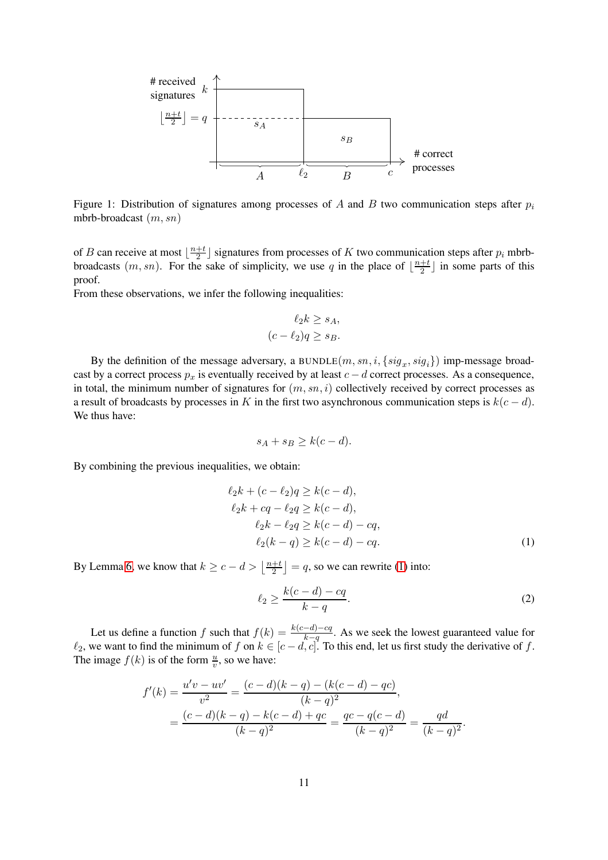

<span id="page-10-0"></span>Figure 1: Distribution of signatures among processes of A and B two communication steps after  $p_i$ mbrb-broadcast (m, sn)

of *B* can receive at most  $\frac{n+t}{2}$  $\frac{+t}{2}$  signatures from processes of K two communication steps after  $p_i$  mbrbbroadcasts  $(m, sn)$ . For the sake of simplicity, we use q in the place of  $\lfloor \frac{n+t}{2} \rfloor$  $\frac{+t}{2}$  in some parts of this proof.

From these observations, we infer the following inequalities:

$$
\ell_2 k \ge s_A,
$$

$$
(c - \ell_2)q \ge s_B.
$$

By the definition of the message adversary, a BUNDLE $(m, sn, i, \{sig_x, sig_i\})$  imp-message broadcast by a correct process  $p_x$  is eventually received by at least  $c - d$  correct processes. As a consequence, in total, the minimum number of signatures for  $(m, sn, i)$  collectively received by correct processes as a result of broadcasts by processes in K in the first two asynchronous communication steps is  $k(c - d)$ . We thus have:

$$
s_A + s_B \ge k(c - d).
$$

By combining the previous inequalities, we obtain:

$$
\ell_2 k + (c - \ell_2)q \ge k(c - d),
$$
  
\n
$$
\ell_2 k + cq - \ell_2 q \ge k(c - d),
$$
  
\n
$$
\ell_2 k - \ell_2 q \ge k(c - d) - cq,
$$
  
\n
$$
\ell_2 (k - q) \ge k(c - d) - cq.
$$
  
\n(1)

By Lemma [6,](#page-9-1) we know that  $k \geq c - d > \left\lfloor \frac{n+t}{2} \right\rfloor$  $\left\lfloor \frac{+t}{2} \right\rfloor$  = q, so we can rewrite [\(1\)](#page-10-1) into:

$$
\ell_2 \ge \frac{k(c-d)-cq}{k-q}.\tag{2}
$$

<span id="page-10-2"></span><span id="page-10-1"></span>.

Let us define a function f such that  $f(k) = \frac{k(c-d)-cq}{k-q}$ . As we seek the lowest guaranteed value for  $\ell_2$ , we want to find the minimum of f on  $k \in [c-d, c]$ . To this end, let us first study the derivative of f. The image  $f(k)$  is of the form  $\frac{u}{v}$ , so we have:

$$
f'(k) = \frac{u'v - uv'}{v^2} = \frac{(c-d)(k-q) - (k(c-d) - qc)}{(k-q)^2},
$$
  
= 
$$
\frac{(c-d)(k-q) - k(c-d) + qc}{(k-q)^2} = \frac{qc - q(c-d)}{(k-q)^2} = \frac{qd}{(k-q)^2}
$$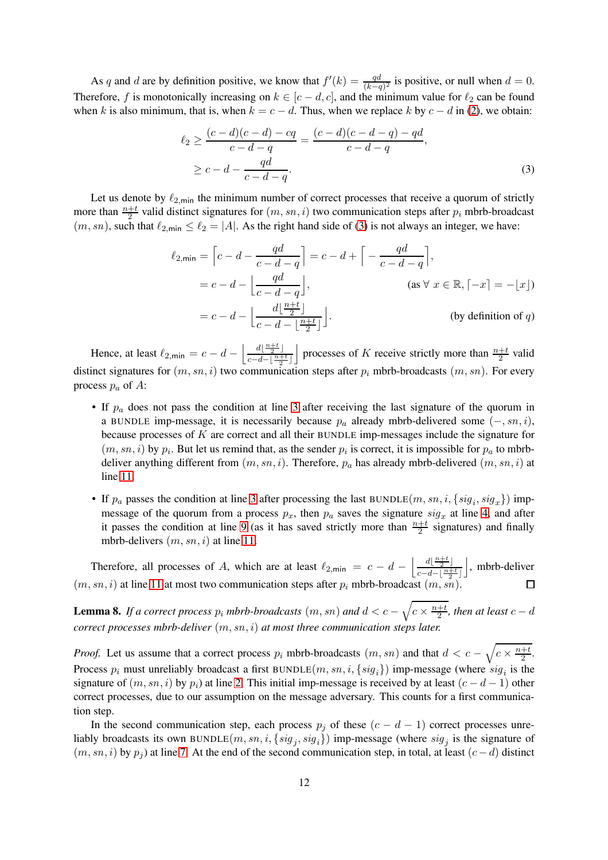As q and d are by definition positive, we know that  $f'(k) = \frac{qd}{(k-q)^2}$  is positive, or null when  $d = 0$ . Therefore, f is monotonically increasing on  $k \in [c-d, c]$ , and the minimum value for  $\ell_2$  can be found when k is also minimum, that is, when  $k = c - d$ . Thus, when we replace k by  $c - d$  in [\(2\)](#page-10-2), we obtain:

<span id="page-11-0"></span>
$$
\ell_2 \ge \frac{(c-d)(c-d) - cq}{c-d-q} = \frac{(c-d)(c-d-q) - qd}{c-d-q},
$$
  
 
$$
\ge c - d - \frac{qd}{c-d-q}.
$$
 (3)

Let us denote by  $\ell_{2,\text{min}}$  the minimum number of correct processes that receive a quorum of strictly more than  $\frac{n+t}{2}$  valid distinct signatures for  $(m, sn, i)$  two communication steps after  $p_i$  mbrb-broadcast  $(m, sn)$ , such that  $\ell_{2,\text{min}} \leq \ell_2 = |A|$ . As the right hand side of [\(3\)](#page-11-0) is not always an integer, we have:

$$
\ell_{2,\min} = \left[ c - d - \frac{qd}{c - d - q} \right] = c - d + \left[ -\frac{qd}{c - d - q} \right],
$$
  
\n
$$
= c - d - \left[ \frac{qd}{c - d - q} \right], \qquad \text{(as } \forall x \in \mathbb{R}, [-x] = -\lfloor x \rfloor)
$$
  
\n
$$
= c - d - \left[ \frac{d\lfloor \frac{n+t}{2} \rfloor}{c - d - \lfloor \frac{n+t}{2} \rfloor} \right]. \qquad \text{(by definition of } q)
$$

Hence, at least  $\ell_{2,\text{min}} = c - d - \left| \frac{d\left(\frac{n+t}{2}\right)}{c - d - \left(\frac{n+t}{2}\right)} \right|$  $c-d-\lfloor \frac{n+t}{2} \rfloor$ processes of K receive strictly more than  $\frac{n+t}{2}$  valid distinct signatures for  $(m, sn, i)$  two communication steps after  $p_i$  mbrb-broadcasts  $(m, sn)$ . For every process  $p_a$  of A:

- If  $p_a$  does not pass the condition at line [3](#page-6-3) after receiving the last signature of the quorum in a BUNDLE imp-message, it is necessarily because  $p_a$  already mbrb-delivered some  $(-, sn, i)$ , because processes of  $K$  are correct and all their BUNDLE imp-messages include the signature for  $(m, sn, i)$  by  $p_i$ . But let us remind that, as the sender  $p_i$  is correct, it is impossible for  $p_a$  to mbrbdeliver anything different from  $(m, sn, i)$ . Therefore,  $p_a$  has already mbrb-delivered  $(m, sn, i)$  at line [11.](#page-6-9)
- If  $p_a$  passes the condition at line [3](#page-6-3) after processing the last BUNDLE $(m, sn, i, \{sig_i, sig_x\})$  impmessage of the quorum from a process  $p_x$ , then  $p_a$  saves the signature  $sig_x$  at line [4,](#page-6-4) and after it passes the condition at line [9](#page-6-7) (as it has saved strictly more than  $\frac{n+t}{2}$  signatures) and finally mbrb-delivers  $(m, sn, i)$  at line [11.](#page-6-9)

Therefore, all processes of A, which are at least  $\ell_{2,\text{min}} = c - d - \left| \frac{d\left|\frac{n+t}{2}\right|}{c - d - \left|\frac{n+t}{2}\right|} \right|$  $c-d-\lfloor \frac{n+t}{2} \rfloor$  $\vert$ , mbrb-deliver  $(m, sn, i)$  at line [11](#page-6-9) at most two communication steps after  $p_i$  mbrb-broadcast  $(m, sn)$ .

<span id="page-11-1"></span>**Lemma 8.** If a correct process  $p_i$  mbrb-broadcasts  $(m, sn)$  and  $d < c - \sqrt{c \times \frac{n+t}{2}}$  $\frac{+t}{2}$ , then at least  $c - d$ *correct processes mbrb-deliver* (m, sn, i) *at most three communication steps later.*

*Proof.* Let us assume that a correct process  $p_i$  mbrb-broadcasts  $(m, sn)$  and that  $d < c - \sqrt{c \times \frac{n+t}{2}}$  $\frac{+t}{2}$ . Process  $p_i$  must unreliably broadcast a first BUNDLE $(m, sn, i, \{sig_i\})$  imp-message (where  $sig_i$  is the signature of  $(m, sn, i)$  by  $p_i$ ) at line [2.](#page-6-2) This initial imp-message is received by at least  $(c - d - 1)$  other correct processes, due to our assumption on the message adversary. This counts for a first communication step.

In the second communication step, each process  $p_j$  of these  $(c - d - 1)$  correct processes unreliably broadcasts its own BUNDLE $(m, sn, i, \{sig_j, sig_i\})$  imp-message (where  $sig_j$  is the signature of  $(m, sn, i)$  by  $p_i$ ) at line [7.](#page-6-10) At the end of the second communication step, in total, at least  $(c-d)$  distinct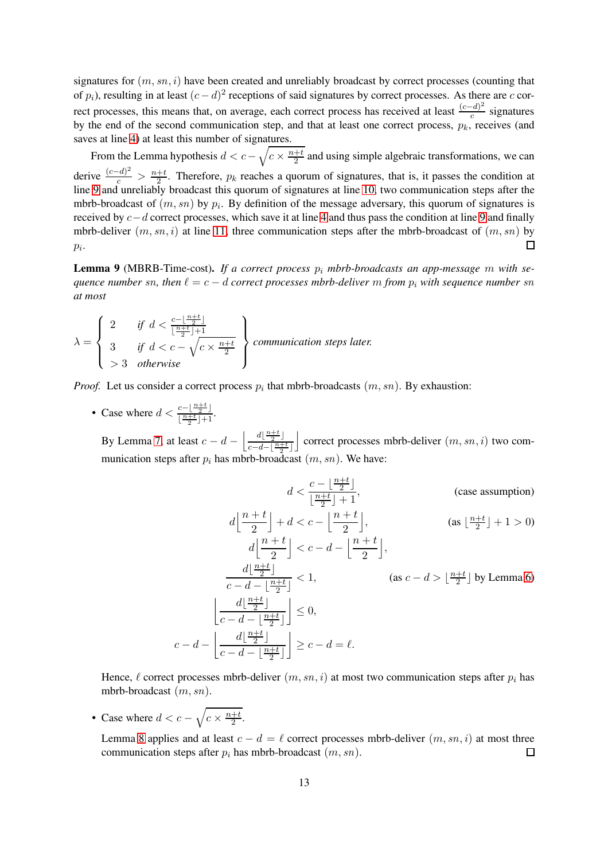signatures for  $(m, sn, i)$  have been created and unreliably broadcast by correct processes (counting that of  $p_i$ ), resulting in at least  $(c-d)^2$  receptions of said signatures by correct processes. As there are c correct processes, this means that, on average, each correct process has received at least  $\frac{(c-d)^2}{c}$  $\frac{c}{c}$  signatures by the end of the second communication step, and that at least one correct process,  $p_k$ , receives (and saves at line [4\)](#page-6-4) at least this number of signatures.

From the Lemma hypothesis  $d < c - \sqrt{c \times \frac{n+t}{2}}$  $\frac{+t}{2}$  and using simple algebraic transformations, we can derive  $\frac{(c-d)^2}{c}$  >  $\frac{n+t}{2}$ . Therefore,  $p_k$  reaches a quorum of signatures, that is, it passes the condition at line [9](#page-6-7) and unreliably broadcast this quorum of signatures at line [10,](#page-6-11) two communication steps after the mbrb-broadcast of  $(m, sn)$  by  $p_i$ . By definition of the message adversary, this quorum of signatures is received by c−d correct processes, which save it at line [4](#page-6-4) and thus pass the condition at line [9](#page-6-7) and finally mbrb-deliver  $(m, sn, i)$  at line [11,](#page-6-9) three communication steps after the mbrb-broadcast of  $(m, sn)$  by  $p_i$ .  $\Box$ 

**Lemma 9** (MBRB-Time-cost). If a correct process  $p_i$  mbrb-broadcasts an app-message m with se*quence number* sn, then  $\ell = c - d$  *correct processes mbrb-deliver* m *from*  $p_i$  *with sequence number* sn *at most*

$$
\lambda = \left\{ \begin{array}{ll} 2 & \text{if } d < \frac{c - \lfloor \frac{n+t}{2} \rfloor}{\lfloor \frac{n+t}{2} \rfloor + 1} \\ 3 & \text{if } d < c - \sqrt{c \times \frac{n+t}{2}} \\ > 3 & \text{otherwise} \end{array} \right\} \text{ communication steps later.}
$$

*Proof.* Let us consider a correct process  $p_i$  that mbrb-broadcasts  $(m, sn)$ . By exhaustion:

• Case where  $d < \frac{c - \lfloor \frac{n+t}{2} \rfloor}{\lfloor n+t \rfloor + 1}$  $\frac{\frac{c-1}{2}}{\lfloor \frac{n+t}{2} \rfloor+1}$ .

By Lemma [7,](#page-9-0) at least  $c - d - \left| \frac{d\left(\frac{n+t}{2}\right)}{d\left(\frac{n+t}{2}\right)} \right|$  $c-d-\lfloor \frac{n+t}{2}\rfloor$ correct processes mbrb-deliver  $(m, sn, i)$  two communication steps after  $p_i$  has mbrb-broadcast  $(m, sn)$ . We have:

$$
d < \frac{c - \lfloor \frac{n+t}{2} \rfloor}{\lfloor \frac{n+t}{2} \rfloor + 1}, \qquad \text{(case assumption)}
$$
\n
$$
d\left\lfloor \frac{n+t}{2} \right\rfloor + d < c - \left\lfloor \frac{n+t}{2} \right\rfloor, \qquad \text{(as } \lfloor \frac{n+t}{2} \rfloor + 1 > 0)
$$
\n
$$
d\left\lfloor \frac{n+t}{2} \right\rfloor < c - d - \left\lfloor \frac{n+t}{2} \right\rfloor, \qquad \text{(as } c - d > \lfloor \frac{n+t}{2} \rfloor \text{ by Lemma 6})
$$
\n
$$
\left\lfloor \frac{d\left\lfloor \frac{n+t}{2} \right\rfloor}{c - d - \left\lfloor \frac{n+t}{2} \right\rfloor} \right\rfloor \le 0, \qquad \text{(as } c - d = \ell.
$$

Hence,  $\ell$  correct processes mbrb-deliver  $(m, sn, i)$  at most two communication steps after  $p_i$  has mbrb-broadcast (m, sn).

• Case where  $d < c - \sqrt{c \times \frac{n+t}{2}}$  $\frac{+t}{2}$ .

 $c -$ 

Lemma [8](#page-11-1) applies and at least  $c - d = \ell$  correct processes mbrb-deliver  $(m, sn, i)$  at most three communication steps after  $p_i$  has mbrb-broadcast  $(m, sn)$ .  $\Box$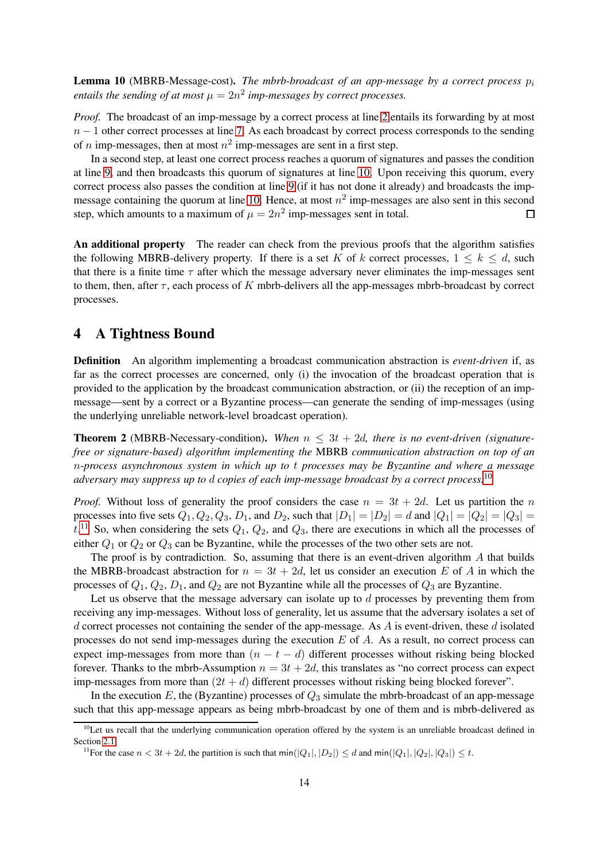<span id="page-13-1"></span>**Lemma 10** (MBRB-Message-cost). *The mbrb-broadcast of an app-message by a correct process*  $p_i$ entails the sending of at most  $\mu = 2n^2$  imp-messages by correct processes.

*Proof.* The broadcast of an imp-message by a correct process at line [2](#page-6-2) entails its forwarding by at most  $n-1$  other correct processes at line [7.](#page-6-10) As each broadcast by correct process corresponds to the sending of *n* imp-messages, then at most  $n^2$  imp-messages are sent in a first step.

In a second step, at least one correct process reaches a quorum of signatures and passes the condition at line [9,](#page-6-7) and then broadcasts this quorum of signatures at line [10.](#page-6-11) Upon receiving this quorum, every correct process also passes the condition at line [9](#page-6-7) (if it has not done it already) and broadcasts the imp-message containing the quorum at line [10.](#page-6-11) Hence, at most  $n^2$  imp-messages are also sent in this second step, which amounts to a maximum of  $\mu = 2n^2$  imp-messages sent in total. □

An additional property The reader can check from the previous proofs that the algorithm satisfies the following MBRB-delivery property. If there is a set K of k correct processes,  $1 \leq k \leq d$ , such that there is a finite time  $\tau$  after which the message adversary never eliminates the imp-messages sent to them, then, after  $\tau$ , each process of K mbrb-delivers all the app-messages mbrb-broadcast by correct processes.

# <span id="page-13-0"></span>4 A Tightness Bound

Definition An algorithm implementing a broadcast communication abstraction is *event-driven* if, as far as the correct processes are concerned, only (i) the invocation of the broadcast operation that is provided to the application by the broadcast communication abstraction, or (ii) the reception of an impmessage—sent by a correct or a Byzantine process—can generate the sending of imp-messages (using the underlying unreliable network-level broadcast operation).

<span id="page-13-4"></span>**Theorem 2** (MBRB-Necessary-condition). When  $n \leq 3t + 2d$ , there is no event-driven (signature*free or signature-based) algorithm implementing the* MBRB *communication abstraction on top of an* n*-process asynchronous system in which up to* t *processes may be Byzantine and where a message adversary may suppress up to* d *copies of each imp-message broadcast by a correct process.*[10](#page-13-2)

*Proof.* Without loss of generality the proof considers the case  $n = 3t + 2d$ . Let us partition the n processes into five sets  $Q_1, Q_2, Q_3, D_1$ , and  $D_2$ , such that  $|D_1| = |D_2| = d$  and  $|Q_1| = |Q_2| = |Q_3| =$  $t<sup>11</sup>$  $t<sup>11</sup>$  $t<sup>11</sup>$  So, when considering the sets  $Q_1$ ,  $Q_2$ , and  $Q_3$ , there are executions in which all the processes of either  $Q_1$  or  $Q_2$  or  $Q_3$  can be Byzantine, while the processes of the two other sets are not.

The proof is by contradiction. So, assuming that there is an event-driven algorithm  $A$  that builds the MBRB-broadcast abstraction for  $n = 3t + 2d$ , let us consider an execution E of A in which the processes of  $Q_1$ ,  $Q_2$ ,  $D_1$ , and  $Q_2$  are not Byzantine while all the processes of  $Q_3$  are Byzantine.

Let us observe that the message adversary can isolate up to  $d$  processes by preventing them from receiving any imp-messages. Without loss of generality, let us assume that the adversary isolates a set of d correct processes not containing the sender of the app-message. As  $\vec{A}$  is event-driven, these  $\vec{d}$  isolated processes do not send imp-messages during the execution  $E$  of  $A$ . As a result, no correct process can expect imp-messages from more than  $(n - t - d)$  different processes without risking being blocked forever. Thanks to the mbrb-Assumption  $n = 3t + 2d$ , this translates as "no correct process can expect imp-messages from more than  $(2t + d)$  different processes without risking being blocked forever".

In the execution E, the (Byzantine) processes of  $Q_3$  simulate the mbrb-broadcast of an app-message such that this app-message appears as being mbrb-broadcast by one of them and is mbrb-delivered as

 $10$ Let us recall that the underlying communication operation offered by the system is an unreliable broadcast defined in Section [2.1.](#page-2-0)

<span id="page-13-3"></span><span id="page-13-2"></span><sup>&</sup>lt;sup>11</sup>For the case  $n < 3t + 2d$ , the partition is such that  $min(|Q_1|, |D_2|) \le d$  and  $min(|Q_1|, |Q_2|, |Q_3|) \le t$ .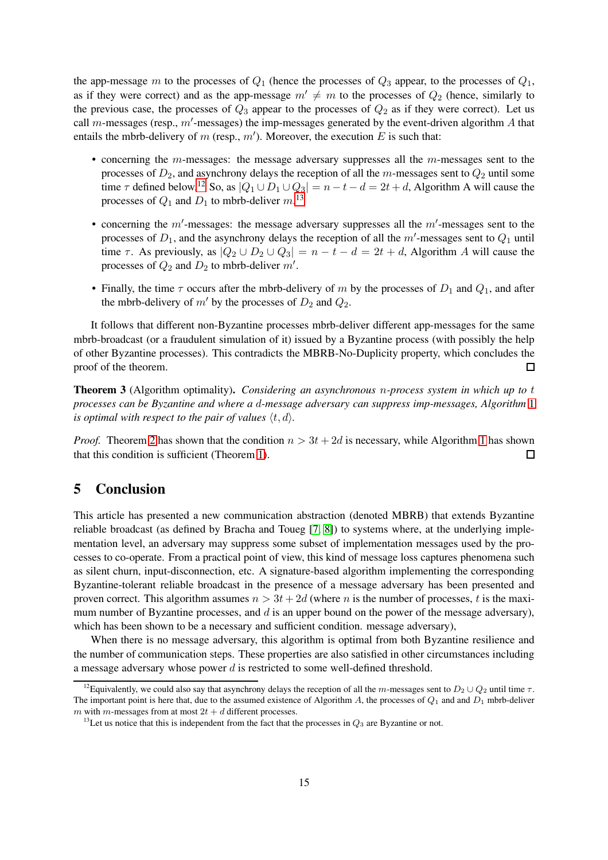the app-message m to the processes of  $Q_1$  (hence the processes of  $Q_3$  appear, to the processes of  $Q_1$ , as if they were correct) and as the app-message  $m' \neq m$  to the processes of  $Q_2$  (hence, similarly to the previous case, the processes of  $Q_3$  appear to the processes of  $Q_2$  as if they were correct). Let us call m-messages (resp.,  $m'$ -messages) the imp-messages generated by the event-driven algorithm A that entails the mbrb-delivery of m (resp.,  $m'$ ). Moreover, the execution E is such that:

- concerning the  $m$ -messages: the message adversary suppresses all the  $m$ -messages sent to the processes of  $D_2$ , and asynchrony delays the reception of all the m-messages sent to  $Q_2$  until some time  $\tau$  defined below.<sup>[12](#page-14-1)</sup> So, as  $|Q_1 \cup D_1 \cup Q_3| = n - t - d = 2t + d$ , Algorithm A will cause the processes of  $Q_1$  and  $D_1$  to mbrb-deliver  $m$ .<sup>[13](#page-14-2)</sup>
- concerning the  $m'$ -messages: the message adversary suppresses all the  $m'$ -messages sent to the processes of  $D_1$ , and the asynchrony delays the reception of all the  $m'$ -messages sent to  $Q_1$  until time  $\tau$ . As previously, as  $|Q_2 \cup D_2 \cup Q_3| = n - t - d = 2t + d$ , Algorithm A will cause the processes of  $Q_2$  and  $D_2$  to mbrb-deliver  $m'$ .
- Finally, the time  $\tau$  occurs after the mbrb-delivery of m by the processes of  $D_1$  and  $Q_1$ , and after the mbrb-delivery of  $m'$  by the processes of  $D_2$  and  $Q_2$ .

It follows that different non-Byzantine processes mbrb-deliver different app-messages for the same mbrb-broadcast (or a fraudulent simulation of it) issued by a Byzantine process (with possibly the help of other Byzantine processes). This contradicts the MBRB-No-Duplicity property, which concludes the proof of the theorem.  $\Box$ 

Theorem 3 (Algorithm optimality). *Considering an asynchronous* n*-process system in which up to* t *processes can be Byzantine and where a* d*-message adversary can suppress imp-messages, Algorithm* [1](#page-6-0) *is optimal with respect to the pair of values*  $\langle t, d \rangle$ .

*Proof.* Theorem [2](#page-13-4) has shown that the condition  $n > 3t + 2d$  is necessary, while Algorithm [1](#page-6-0) has shown that this condition is sufficient (Theorem [1\)](#page-7-1).  $\Box$ 

# <span id="page-14-0"></span>5 Conclusion

This article has presented a new communication abstraction (denoted MBRB) that extends Byzantine reliable broadcast (as defined by Bracha and Toueg [\[7,](#page-15-0) [8\]](#page-15-1)) to systems where, at the underlying implementation level, an adversary may suppress some subset of implementation messages used by the processes to co-operate. From a practical point of view, this kind of message loss captures phenomena such as silent churn, input-disconnection, etc. A signature-based algorithm implementing the corresponding Byzantine-tolerant reliable broadcast in the presence of a message adversary has been presented and proven correct. This algorithm assumes  $n > 3t + 2d$  (where n is the number of processes, t is the maximum number of Byzantine processes, and  $d$  is an upper bound on the power of the message adversary), which has been shown to be a necessary and sufficient condition. message adversary),

When there is no message adversary, this algorithm is optimal from both Byzantine resilience and the number of communication steps. These properties are also satisfied in other circumstances including a message adversary whose power d is restricted to some well-defined threshold.

<span id="page-14-1"></span><sup>&</sup>lt;sup>12</sup>Equivalently, we could also say that asynchrony delays the reception of all the m-messages sent to  $D_2 \cup Q_2$  until time  $\tau$ . The important point is here that, due to the assumed existence of Algorithm A, the processes of  $Q_1$  and and  $D_1$  mbrb-deliver m with m-messages from at most  $2t + d$  different processes.

<span id="page-14-2"></span><sup>&</sup>lt;sup>13</sup>Let us notice that this is independent from the fact that the processes in  $Q_3$  are Byzantine or not.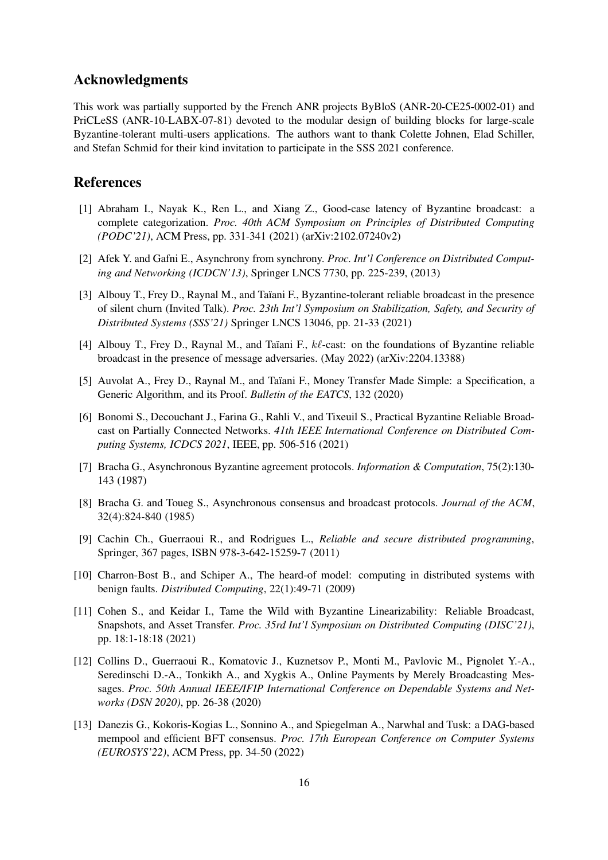# Acknowledgments

This work was partially supported by the French ANR projects ByBloS (ANR-20-CE25-0002-01) and PriCLeSS (ANR-10-LABX-07-81) devoted to the modular design of building blocks for large-scale Byzantine-tolerant multi-users applications. The authors want to thank Colette Johnen, Elad Schiller, and Stefan Schmid for their kind invitation to participate in the SSS 2021 conference.

## <span id="page-15-12"></span>References

- [1] Abraham I., Nayak K., Ren L., and Xiang Z., Good-case latency of Byzantine broadcast: a complete categorization. *Proc. 40th ACM Symposium on Principles of Distributed Computing (PODC'21)*, ACM Press, pp. 331-341 (2021) (arXiv:2102.07240v2)
- <span id="page-15-8"></span><span id="page-15-7"></span>[2] Afek Y. and Gafni E., Asynchrony from synchrony. *Proc. Int'l Conference on Distributed Computing and Networking (ICDCN'13)*, Springer LNCS 7730, pp. 225-239, (2013)
- [3] Albouy T., Frey D., Raynal M., and Taïani F., Byzantine-tolerant reliable broadcast in the presence of silent churn (Invited Talk). *Proc. 23th Int'l Symposium on Stabilization, Safety, and Security of Distributed Systems (SSS'21)* Springer LNCS 13046, pp. 21-33 (2021)
- <span id="page-15-11"></span><span id="page-15-3"></span>[4] Albouy T., Frey D., Raynal M., and Taïani F.,  $k\ell$ -cast: on the foundations of Byzantine reliable broadcast in the presence of message adversaries. (May 2022) (arXiv:2204.13388)
- <span id="page-15-10"></span>[5] Auvolat A., Frey D., Raynal M., and Taïani F., Money Transfer Made Simple: a Specification, a Generic Algorithm, and its Proof. *Bulletin of the EATCS*, 132 (2020)
- [6] Bonomi S., Decouchant J., Farina G., Rahli V., and Tixeuil S., Practical Byzantine Reliable Broadcast on Partially Connected Networks. *41th IEEE International Conference on Distributed Computing Systems, ICDCS 2021*, IEEE, pp. 506-516 (2021)
- <span id="page-15-1"></span><span id="page-15-0"></span>[7] Bracha G., Asynchronous Byzantine agreement protocols. *Information & Computation*, 75(2):130- 143 (1987)
- <span id="page-15-2"></span>[8] Bracha G. and Toueg S., Asynchronous consensus and broadcast protocols. *Journal of the ACM*, 32(4):824-840 (1985)
- <span id="page-15-9"></span>[9] Cachin Ch., Guerraoui R., and Rodrigues L., *Reliable and secure distributed programming*, Springer, 367 pages, ISBN 978-3-642-15259-7 (2011)
- [10] Charron-Bost B., and Schiper A., The heard-of model: computing in distributed systems with benign faults. *Distributed Computing*, 22(1):49-71 (2009)
- <span id="page-15-4"></span>[11] Cohen S., and Keidar I., Tame the Wild with Byzantine Linearizability: Reliable Broadcast, Snapshots, and Asset Transfer. *Proc. 35rd Int'l Symposium on Distributed Computing (DISC'21)*, pp. 18:1-18:18 (2021)
- <span id="page-15-5"></span>[12] Collins D., Guerraoui R., Komatovic J., Kuznetsov P., Monti M., Pavlovic M., Pignolet Y.-A., Seredinschi D.-A., Tonkikh A., and Xygkis A., Online Payments by Merely Broadcasting Messages. *Proc. 50th Annual IEEE/IFIP International Conference on Dependable Systems and Networks (DSN 2020)*, pp. 26-38 (2020)
- <span id="page-15-6"></span>[13] Danezis G., Kokoris-Kogias L., Sonnino A., and Spiegelman A., Narwhal and Tusk: a DAG-based mempool and efficient BFT consensus. *Proc. 17th European Conference on Computer Systems (EUROSYS'22)*, ACM Press, pp. 34-50 (2022)